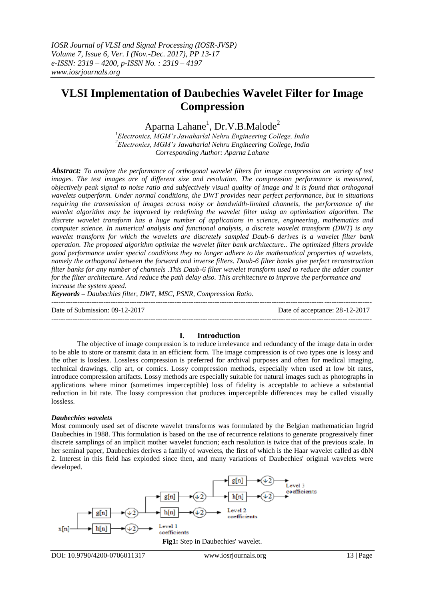# **VLSI Implementation of Daubechies Wavelet Filter for Image Compression**

Aparna  $\mathrm{Lahane}^1$ , Dr.V.B. $\mathrm{Malode}^2$ 

*<sup>1</sup>Electronics, MGM's Jawaharlal Nehru Engineering College, India <sup>2</sup>Electronics, MGM's Jawaharlal Nehru Engineering College, India Corresponding Author: Aparna Lahane*

*Abstract: To analyze the performance of orthogonal wavelet filters for image compression on variety of test images. The test images are of different size and resolution. The compression performance is measured, objectively peak signal to noise ratio and subjectively visual quality of image and it is found that orthogonal wavelets outperform. Under normal conditions, the DWT provides near perfect performance, but in situations requiring the transmission of images across noisy or bandwidth-limited channels, the performance of the wavelet algorithm may be improved by redefining the wavelet filter using an optimization algorithm. The discrete wavelet transform has a huge number of applications in science, engineering, mathematics and computer science. In numerical analysis and functional analysis, a discrete wavelet transform (DWT) is any wavelet transform for which the wavelets are discretely sampled Daub-6 derives is a wavelet filter bank operation. The proposed algorithm optimize the wavelet filter bank architecture.. The optimized filters provide good performance under special conditions they no longer adhere to the mathematical properties of wavelets, namely the orthogonal between the forward and inverse filters. Daub-6 filter banks give perfect reconstruction filter banks for any number of channels .This Daub-6 filter wavelet transform used to reduce the adder counter for the filter architecture. And reduce the path delay also. This architecture to improve the performance and increase the system speed.*

*Keywords – Daubechies filter, DWT, MSC, PSNR, Compression Ratio.*

--------------------------------------------------------------------------------------------------------------------------------------- Date of Submission: 09-12-2017 Date of acceptance: 28-12-2017 ---------------------------------------------------------------------------------------------------------------------------------------

# **I. Introduction**

The objective of image compression is to reduce irrelevance and redundancy of the image data in order to be able to store or transmit data in an efficient form. The image compression is of two types one is lossy and the other is lossless. Lossless compression is preferred for archival purposes and often for medical imaging, technical drawings, clip art, or comics. Lossy compression methods, especially when used at low bit rates, introduce compression artifacts. Lossy methods are especially suitable for natural images such as photographs in applications where minor (sometimes imperceptible) loss of fidelity is acceptable to achieve a substantial reduction in bit rate. The lossy compression that produces imperceptible differences may be called visually lossless.

# *Daubechies wavelets*

Most commonly used set of discrete wavelet transforms was formulated by the Belgian mathematician Ingrid Daubechies in 1988. This formulation is based on the use of recurrence relations to generate progressively finer discrete samplings of an implicit mother wavelet function; each resolution is twice that of the previous scale. In her seminal paper, Daubechies derives a family of wavelets, the first of which is the Haar wavelet called as dbN 2. Interest in this field has exploded since then, and many variations of Daubechies' original wavelets were developed.

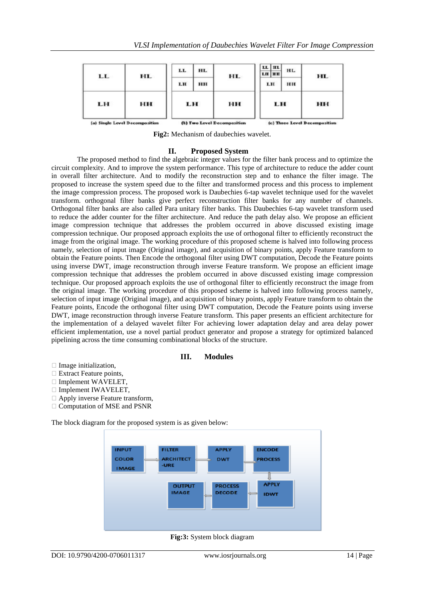| LL. | HL.                            | LL  | HL. | HL.                         | LL HL<br><b>LH HH</b> | <b>HL</b> | HL.                           |
|-----|--------------------------------|-----|-----|-----------------------------|-----------------------|-----------|-------------------------------|
|     |                                | LH. | HH  |                             | LH.                   | HH        |                               |
| LH  | нн                             | LH  |     | нн                          | LH                    |           | HH                            |
|     | (a) Single Level Decomposition |     |     | (b) Two Level Decomposition |                       |           | (c) Three Level Decomposition |

**Fig2:** Mechanism of daubechies wavelet.

## **II. Proposed System**

The proposed method to find the algebraic integer values for the filter bank process and to optimize the circuit complexity. And to improve the system performance. This type of architecture to reduce the adder count in overall filter architecture. And to modify the reconstruction step and to enhance the filter image. The proposed to increase the system speed due to the filter and transformed process and this process to implement the image compression process. The proposed work is Daubechies 6-tap wavelet technique used for the wavelet transform. orthogonal filter banks give perfect reconstruction filter banks for any number of channels. Orthogonal filter banks are also called Para unitary filter banks. This Daubechies 6-tap wavelet transform used to reduce the adder counter for the filter architecture. And reduce the path delay also. We propose an efficient image compression technique that addresses the problem occurred in above discussed existing image compression technique. Our proposed approach exploits the use of orthogonal filter to efficiently reconstruct the image from the original image. The working procedure of this proposed scheme is halved into following process namely, selection of input image (Original image), and acquisition of binary points, apply Feature transform to obtain the Feature points. Then Encode the orthogonal filter using DWT computation, Decode the Feature points using inverse DWT, image reconstruction through inverse Feature transform. We propose an efficient image compression technique that addresses the problem occurred in above discussed existing image compression technique. Our proposed approach exploits the use of orthogonal filter to efficiently reconstruct the image from the original image. The working procedure of this proposed scheme is halved into following process namely, selection of input image (Original image), and acquisition of binary points, apply Feature transform to obtain the Feature points, Encode the orthogonal filter using DWT computation, Decode the Feature points using inverse DWT, image reconstruction through inverse Feature transform. This paper presents an efficient architecture for the implementation of a delayed wavelet filter For achieving lower adaptation delay and area delay power efficient implementation, use a novel partial product generator and propose a strategy for optimized balanced pipelining across the time consuming combinational blocks of the structure.

## **III. Modules**

- $\Box$  Image initialization,
- $\Box$  Extract Feature points,
- □ Implement WAVELET,
- $\Box$  Implement IWAVELET,
- $\Box$  Apply inverse Feature transform,
- Computation of MSE and PSNR

The block diagram for the proposed system is as given below:



**Fig:3:** System block diagram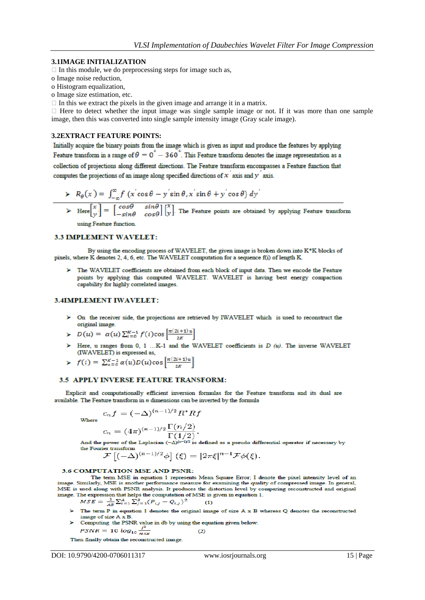#### **3.1IMAGE INITIALIZATION**

 $\Box$  In this module, we do preprocessing steps for image such as,

- o Image noise reduction,
- o Histogram equalization,

o Image size estimation, etc.

 $\Box$  In this we extract the pixels in the given image and arrange it in a matrix.

 $\Box$  Here to detect whether the input image was single sample image or not. If it was more than one sample image, then this was converted into single sample intensity image (Gray scale image).

#### **3.2EXTRACT FEATURE POINTS:**

Initially acquire the binary points from the image which is given as input and produce the features by applying Feature transform in a range of  $\theta = 0^\circ - 360^\circ$ . This Feature transform denotes the image representation as a collection of projections along different directions. The Feature transform encompasses a Feature function that computes the projections of an image along specified directions of  $x'$  axis and  $y'$  axis.

$$
\triangleright R_{\theta}(x) = \int_{-\infty}^{\infty} f(x' \cos \theta - y' \sin \theta, x' \sin \theta + y' \cos \theta) dy'
$$

 $\triangleright$  Here  $\begin{bmatrix} x \\ y \end{bmatrix} = \begin{bmatrix} \cos\theta & \sin\theta \\ -\sin\theta & \cos\theta \end{bmatrix} \begin{bmatrix} x \\ y \end{bmatrix}$ . The Feature points are obtained by applying Feature transform

using Feature function.

## 3.3 IMPLEMENT WAVELET:

By using the encoding process of WAVELET, the given image is broken down into K\*K blocks of pixels, where K denotes 2, 4, 6, etc. The WAVELET computation for a sequence f(i) of length K.

The WAVELET coefficients are obtained from each block of input data. Then we encode the Feature points by applying this computed WAVELET. WAVELET is having best energy compaction capability for highly correlated images.

#### 3.4IMPLEMENT IWAVELET:

- > On the receiver side, the projections are retrieved by IWAVELET which is used to reconstruct the original image.
- $D(u) = \alpha(u) \sum_{i=0}^{K-1} f(i) \cos \left[\frac{\pi(2i+1)u}{2K}\right]$
- > Here, u ranges from 0, 1 ...K-1 and the WAVELET coefficients is  $D(u)$ . The inverse WAVELET (IWAVELET) is expressed as,
- $f(i) = \sum_{u=0}^{K-1} \alpha(u)D(u)\cos\left[\frac{\pi(2i+1)u}{2K}\right]$

### 3.5 APPLY INVERSE FEATURE TRANSFORM:

Explicit and computationally efficient inversion formulas for the Feature transform and its dual are available. The Feature transform in  $n$  dimensions can be inverted by the formula

where  
\n
$$
c_n f = (-\Delta)^{(n-1)/2} R^* R f
$$
\n
$$
c_n = (4\pi)^{(n-1)/2} \frac{\Gamma(n/2)}{\Gamma(1/2)}.
$$

And the power of the Laplacian  $(-\Delta)^{(n-1)/2}$  is defined as a pseudo differential operator if necessary by the Fourier transform

$$
\mathcal{F}\left[(-\Delta)^{(n-1)/2}\phi\right](\xi) = |2\pi\xi|^{n-1}\mathcal{F}\phi(\xi).
$$

#### 3.6 COMPUTATION MSE AND PSNR:

The term MSE in equation 1 represents Mean Square Error; I denote the pixel intensity level of an image. Similarly, MSE is another performance measure for examining the quality of compressed image. In general, MSE is used along with PSNR analysis. It produces the distortion level by comparing reconstructed and original image. The expression that helps the computation of MSE is given in equation 1.

$$
MSE = \frac{1}{AB} \sum_{i=1}^{A} \sum_{j=1}^{B} (P_{i,j} - Q_{i,j})^2
$$
 (1)

The term P in equation 1 denotes the original image of size A x B whereas Q denotes the reconstructed ъ image of size A x B. below:

Computing the PSNR value in db by using the equation given  

$$
PSNR = 10 \log_{10} \frac{I^2}{MSE}
$$
 (2)

Then finally obtain the reconstructed image.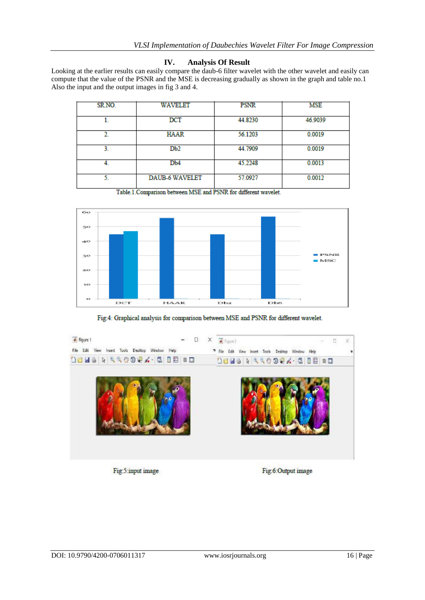# **IV. Analysis Of Result**

Looking at the earlier results can easily compare the daub-6 filter wavelet with the other wavelet and easily can compute that the value of the PSNR and the MSE is decreasing gradually as shown in the graph and table no.1 Also the input and the output images in fig 3 and 4.

| SR.NO. | WAVELET               | <b>PSNR</b> | MSE     |
|--------|-----------------------|-------------|---------|
|        | $_{\rm DCT}$          | 44.8230     | 46.9039 |
| 2.     | HAAR                  | 56.1203     | 0.0019  |
| 3.     | Db2                   | 44.7909     | 0.0019  |
|        | D <sub>b</sub> 4      | 45.2248     | 0.0013  |
| 5.     | <b>DAUB-6 WAVELET</b> | 57.0927     | 0.0012  |

Table.1. Comparison between MSE and PSNR for different wavelet.



Fig:4: Graphical analysis for comparison between MSE and PSNR for different wavelet.



Fig:5:input image

Fig:6:Output image